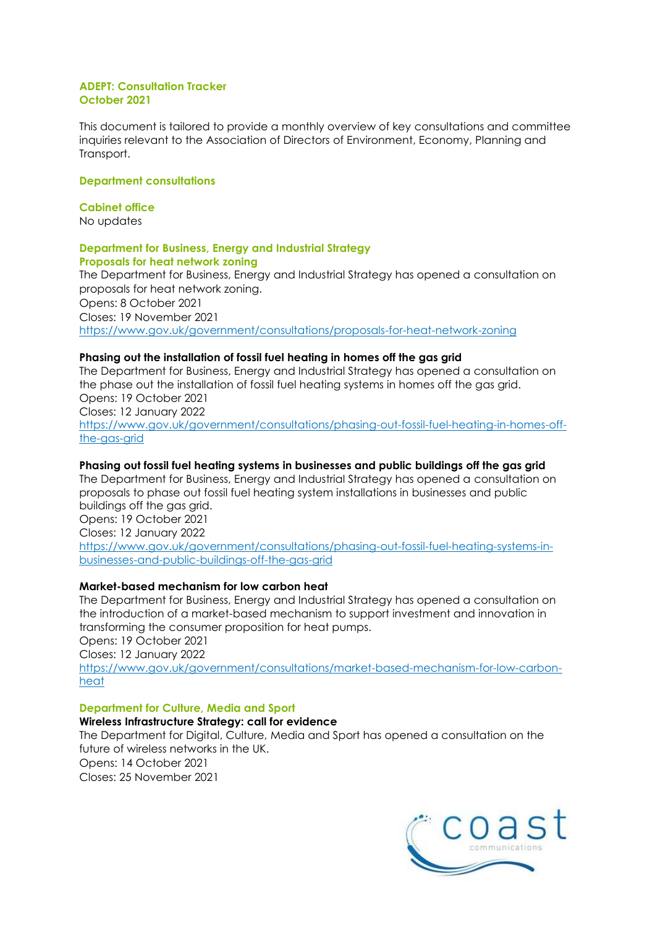#### **ADEPT: Consultation Tracker October 2021**

This document is tailored to provide a monthly overview of key consultations and committee inquiries relevant to the Association of Directors of Environment, Economy, Planning and Transport.

# **Department consultations**

# **Cabinet office**

No updates

#### **Department for Business, Energy and Industrial Strategy Proposals for heat network zoning**

The Department for Business, Energy and Industrial Strategy has opened a consultation on proposals for heat network zoning. Opens: 8 October 2021 Closes: 19 November 2021 <https://www.gov.uk/government/consultations/proposals-for-heat-network-zoning>

# **Phasing out the installation of fossil fuel heating in homes off the gas grid**

The Department for Business, Energy and Industrial Strategy has opened a consultation on the phase out the installation of fossil fuel heating systems in homes off the gas grid. Opens: 19 October 2021 Closes: 12 January 2022 [https://www.gov.uk/government/consultations/phasing-out-fossil-fuel-heating-in-homes-off](https://www.gov.uk/government/consultations/phasing-out-fossil-fuel-heating-in-homes-off-the-gas-grid)[the-gas-grid](https://www.gov.uk/government/consultations/phasing-out-fossil-fuel-heating-in-homes-off-the-gas-grid)

# **Phasing out fossil fuel heating systems in businesses and public buildings off the gas grid**

The Department for Business, Energy and Industrial Strategy has opened a consultation on proposals to phase out fossil fuel heating system installations in businesses and public buildings off the gas grid. Opens: 19 October 2021 Closes: 12 January 2022

[https://www.gov.uk/government/consultations/phasing-out-fossil-fuel-heating-systems-in](https://www.gov.uk/government/consultations/phasing-out-fossil-fuel-heating-systems-in-businesses-and-public-buildings-off-the-gas-grid)[businesses-and-public-buildings-off-the-gas-grid](https://www.gov.uk/government/consultations/phasing-out-fossil-fuel-heating-systems-in-businesses-and-public-buildings-off-the-gas-grid)

# **Market-based mechanism for low carbon heat**

The Department for Business, Energy and Industrial Strategy has opened a consultation on the introduction of a market-based mechanism to support investment and innovation in transforming the consumer proposition for heat pumps.

Opens: 19 October 2021

Closes: 12 January 2022

[https://www.gov.uk/government/consultations/market-based-mechanism-for-low-carbon](https://www.gov.uk/government/consultations/market-based-mechanism-for-low-carbon-heat)[heat](https://www.gov.uk/government/consultations/market-based-mechanism-for-low-carbon-heat)

# **Department for Culture, Media and Sport**

# **Wireless Infrastructure Strategy: call for evidence**

The Department for Digital, Culture, Media and Sport has opened a consultation on the future of wireless networks in the UK. Opens: 14 October 2021 Closes: 25 November 2021

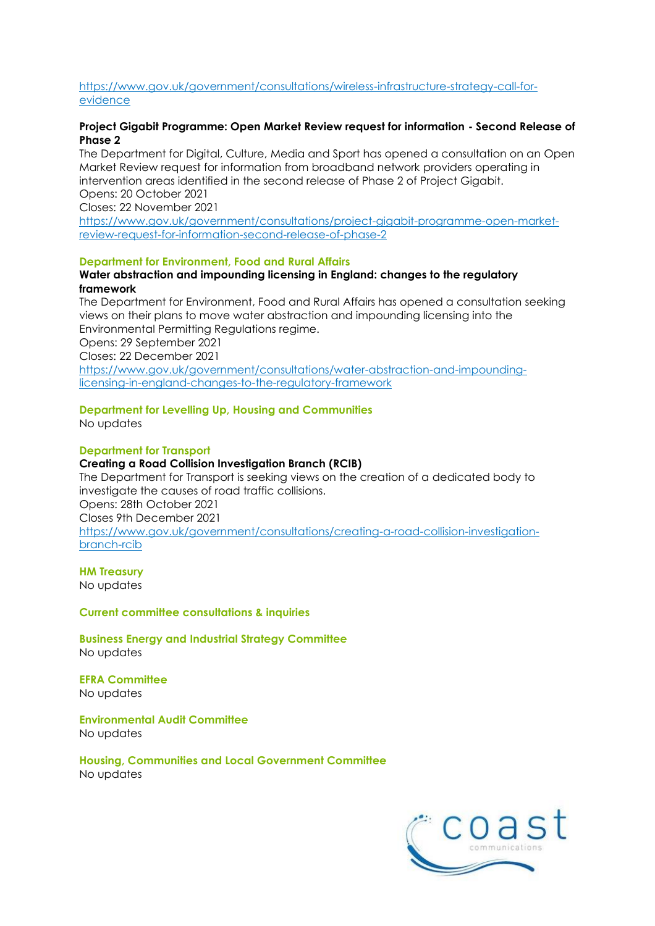# [https://www.gov.uk/government/consultations/wireless-infrastructure-strategy-call-for](https://www.gov.uk/government/consultations/wireless-infrastructure-strategy-call-for-evidence)[evidence](https://www.gov.uk/government/consultations/wireless-infrastructure-strategy-call-for-evidence)

# **Project Gigabit Programme: Open Market Review request for information - Second Release of Phase 2**

The Department for Digital, Culture, Media and Sport has opened a consultation on an Open Market Review request for information from broadband network providers operating in intervention areas identified in the second release of Phase 2 of Project Gigabit. Opens: 20 October 2021

Closes: 22 November 2021

[https://www.gov.uk/government/consultations/project-gigabit-programme-open-market](https://www.gov.uk/government/consultations/project-gigabit-programme-open-market-review-request-for-information-second-release-of-phase-2)[review-request-for-information-second-release-of-phase-2](https://www.gov.uk/government/consultations/project-gigabit-programme-open-market-review-request-for-information-second-release-of-phase-2)

#### **Department for Environment, Food and Rural Affairs**

#### **Water abstraction and impounding licensing in England: changes to the regulatory framework**

The Department for Environment, Food and Rural Affairs has opened a consultation seeking views on their plans to move water abstraction and impounding licensing into the Environmental Permitting Regulations regime.

Opens: 29 September 2021

Closes: 22 December 2021

[https://www.gov.uk/government/consultations/water-abstraction-and-impounding](https://www.gov.uk/government/consultations/water-abstraction-and-impounding-licensing-in-england-changes-to-the-regulatory-framework)[licensing-in-england-changes-to-the-regulatory-framework](https://www.gov.uk/government/consultations/water-abstraction-and-impounding-licensing-in-england-changes-to-the-regulatory-framework)

# **Department for Levelling Up, Housing and Communities**

No updates

# **Department for Transport**

#### **Creating a Road Collision Investigation Branch (RCIB)**

The Department for Transport is seeking views on the creation of a dedicated body to investigate the causes of road traffic collisions. Opens: 28th October 2021

Closes 9th December 2021

[https://www.gov.uk/government/consultations/creating-a-road-collision-investigation](https://www.gov.uk/government/consultations/creating-a-road-collision-investigation-branch-rcib)[branch-rcib](https://www.gov.uk/government/consultations/creating-a-road-collision-investigation-branch-rcib)

**HM Treasury**

No updates

#### **Current committee consultations & inquiries**

**Business Energy and Industrial Strategy Committee** No updates

**EFRA Committee**  No updates

**Environmental Audit Committee** No updates

**Housing, Communities and Local Government Committee** No updates